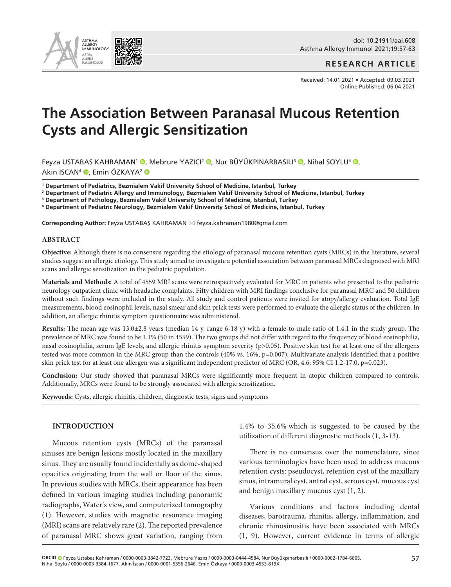

**RESEARCH ARTICLE**

Received: 14.01.2021 • Accepted: 09.03.2021 Online Published: 06.04.2021

# **The Association Between Paranasal Mucous Retention Cysts and Allergic Sensitization**

Feyza USTABAŞ KAHRAMAN<sup>1</sup> ®[,](https://orcıd.org/0000-0003-0444-4584) Mebrure YAZICI<sup>2</sup> ®, Nur BÜYÜKPINARBAŞILI<sup>3</sup> ®, Nihal SOYLU<sup>4</sup> ®, Akın İSCAN<sup>4</sup> (D. Emin ÖZKAYA<sup>2</sup> (D

**1 Department of Pediatrics, Bezmialem Vakif University School of Medicine, Istanbul, Turkey**

**2 Department of Pediatric Allergy and Immunology, Bezmialem Vakif University School of Medicine, Istanbul, Turkey**

**3 Department of Pathology, Bezmialem Vakif University School of Medicine, Istanbul, Turkey**

**4 Department of Pediatric Neurology, Bezmialem Vakif University School of Medicine, Istanbul, Turkey**

**Corresponding Author:** Feyza USTABAŞ KAHRAMAN \* feyza.kahraman1980@gmail.com

#### **ABSTRACT**

**Objective:** Although there is no consensus regarding the etiology of paranasal mucous retention cysts (MRCs) in the literature, several studies suggest an allergic etiology. This study aimed to investigate a potential association between paranasal MRCs diagnosed with MRI scans and allergic sensitization in the pediatric population.

**Materials and Methods:** A total of 4559 MRI scans were retrospectively evaluated for MRC in patients who presented to the pediatric neurology outpatient clinic with headache complaints. Fifty children with MRI findings conclusive for paranasal MRC and 50 children without such findings were included in the study. All study and control patients were invited for atopy/allergy evaluation. Total IgE measurements, blood eosinophil levels, nasal smear and skin prick tests were performed to evaluate the allergic status of the children. In addition, an allergic rhinitis symptom questionnaire was administered.

**Results:** The mean age was 13.0±2.8 years (median 14 y, range 6-18 y) with a female-to-male ratio of 1.4:1 in the study group. The prevalence of MRC was found to be 1.1% (50 in 4559). The two groups did not differ with regard to the frequency of blood eosinophilia, nasal eosinophilia, serum IgE levels, and allergic rhinitis symptom severity (p>0.05). Positive skin test for at least one of the allergens tested was more common in the MRC group than the controls (40% vs. 16%, p=0.007). Multivariate analysis identified that a positive skin prick test for at least one allergen was a significant independent predictor of MRC (OR, 4.6; 95% CI 1.2-17.0, p=0.023).

**Conclusion:** Our study showed that paranasal MRCs were significantly more frequent in atopic children compared to controls. Additionally, MRCs were found to be strongly associated with allergic sensitization.

**Keywords:** Cysts, allergic rhinitis, children, diagnostic tests, signs and symptoms

#### **INTRODUCTION**

Mucous retention cysts (MRCs) of the paranasal sinuses are benign lesions mostly located in the maxillary sinus. They are usually found incidentally as dome-shaped opacities originating from the wall or floor of the sinus. In previous studies with MRCs, their appearance has been defined in various imaging studies including panoramic radiographs, Water's view, and computerized tomography (1). However, studies with magnetic resonance imaging (MRI) scans are relatively rare (2). The reported prevalence of paranasal MRC shows great variation, ranging from

1.4% to 35.6% which is suggested to be caused by the utilization of different diagnostic methods (1, 3-13).

There is no consensus over the nomenclature, since various terminologies have been used to address mucous retention cysts: pseudocyst, retention cyst of the maxillary sinus, intramural cyst, antral cyst, serous cyst, mucous cyst and benign maxillary mucous cyst (1, 2).

Various conditions and factors including dental diseases, barotrauma, rhinitis, allergy, inflammation, and chronic rhinosinusitis have been associated with MRCs (1, 9). However, current evidence in terms of allergic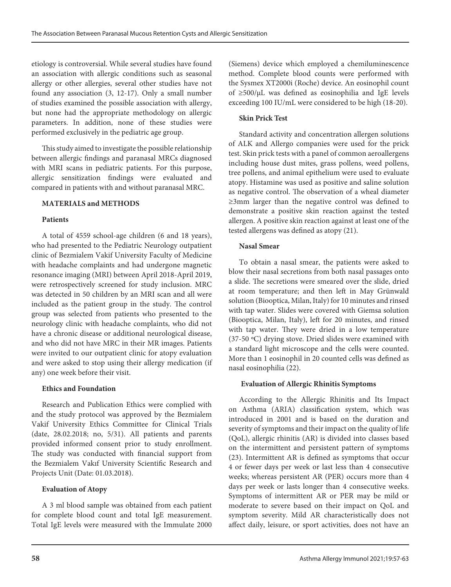etiology is controversial. While several studies have found an association with allergic conditions such as seasonal allergy or other allergies, several other studies have not found any association (3, 12-17). Only a small number of studies examined the possible association with allergy, but none had the appropriate methodology on allergic parameters. In addition, none of these studies were performed exclusively in the pediatric age group.

This study aimed to investigate the possible relationship between allergic findings and paranasal MRCs diagnosed with MRI scans in pediatric patients. For this purpose, allergic sensitization findings were evaluated and compared in patients with and without paranasal MRC.

# **MATERIALS and METHODS**

#### **Patients**

A total of 4559 school-age children (6 and 18 years), who had presented to the Pediatric Neurology outpatient clinic of Bezmialem Vakif University Faculty of Medicine with headache complaints and had undergone magnetic resonance imaging (MRI) between April 2018-April 2019, were retrospectively screened for study inclusion. MRC was detected in 50 children by an MRI scan and all were included as the patient group in the study. The control group was selected from patients who presented to the neurology clinic with headache complaints, who did not have a chronic disease or additional neurological disease, and who did not have MRC in their MR images. Patients were invited to our outpatient clinic for atopy evaluation and were asked to stop using their allergy medication (if any) one week before their visit.

# **Ethics and Foundation**

Research and Publication Ethics were complied with and the study protocol was approved by the Bezmialem Vakif University Ethics Committee for Clinical Trials (date, 28.02.2018; no, 5/31). All patients and parents provided informed consent prior to study enrollment. The study was conducted with financial support from the Bezmialem Vakıf University Scientific Research and Projects Unit (Date: 01.03.2018).

# **Evaluation of Atopy**

A 3 ml blood sample was obtained from each patient for complete blood count and total IgE measurement. Total IgE levels were measured with the Immulate 2000

(Siemens) device which employed a chemiluminescence method. Complete blood counts were performed with the Sysmex XT2000i (Roche) device. An eosinophil count of ≥500/μL was defined as eosinophilia and IgE levels exceeding 100 IU/mL were considered to be high (18-20).

### **Skin Prick Test**

Standard activity and concentration allergen solutions of ALK and Allergo companies were used for the prick test. Skin prick tests with a panel of common aeroallergens including house dust mites, grass pollens, weed pollens, tree pollens, and animal epithelium were used to evaluate atopy. Histamine was used as positive and saline solution as negative control. The observation of a wheal diameter ≥3mm larger than the negative control was defined to demonstrate a positive skin reaction against the tested allergen. A positive skin reaction against at least one of the tested allergens was defined as atopy (21).

#### **Nasal Smear**

To obtain a nasal smear, the patients were asked to blow their nasal secretions from both nasal passages onto a slide. The secretions were smeared over the slide, dried at room temperature; and then left in May Grünwald solution (Biooptica, Milan, Italy) for 10 minutes and rinsed with tap water. Slides were covered with Giemsa solution (Biooptica, Milan, Italy), left for 20 minutes, and rinsed with tap water. They were dried in a low temperature (37-50 ºC) drying stove. Dried slides were examined with a standard light microscope and the cells were counted. More than 1 eosinophil in 20 counted cells was defined as nasal eosinophilia (22).

# **Evaluation of Allergic Rhinitis Symptoms**

According to the Allergic Rhinitis and Its Impact on Asthma (ARIA) classification system, which was introduced in 2001 and is based on the duration and severity of symptoms and their impact on the quality of life (QoL), allergic rhinitis (AR) is divided into classes based on the intermittent and persistent pattern of symptoms (23). Intermittent AR is defined as symptoms that occur 4 or fewer days per week or last less than 4 consecutive weeks; whereas persistent AR (PER) occurs more than 4 days per week or lasts longer than 4 consecutive weeks. Symptoms of intermittent AR or PER may be mild or moderate to severe based on their impact on QoL and symptom severity. Mild AR characteristically does not affect daily, leisure, or sport activities, does not have an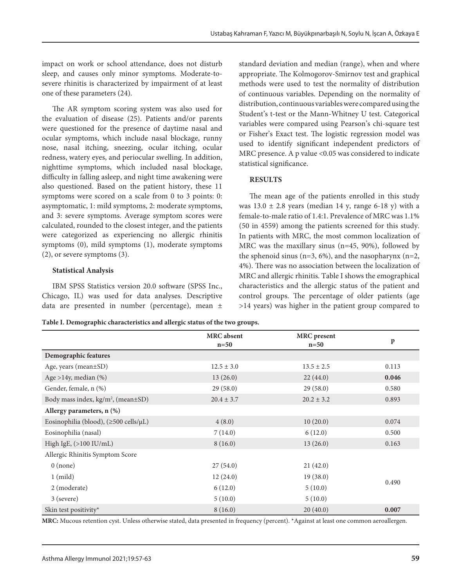impact on work or school attendance, does not disturb sleep, and causes only minor symptoms. Moderate-tosevere rhinitis is characterized by impairment of at least one of these parameters (24).

The AR symptom scoring system was also used for the evaluation of disease (25). Patients and/or parents were questioned for the presence of daytime nasal and ocular symptoms, which include nasal blockage, runny nose, nasal itching, sneezing, ocular itching, ocular redness, watery eyes, and periocular swelling. In addition, nighttime symptoms, which included nasal blockage, difficulty in falling asleep, and night time awakening were also questioned. Based on the patient history, these 11 symptoms were scored on a scale from 0 to 3 points: 0: asymptomatic, 1: mild symptoms, 2: moderate symptoms, and 3: severe symptoms. Average symptom scores were calculated, rounded to the closest integer, and the patients were categorized as experiencing no allergic rhinitis symptoms (0), mild symptoms (1), moderate symptoms (2), or severe symptoms (3).

#### **Statistical Analysis**

IBM SPSS Statistics version 20.0 software (SPSS Inc., Chicago, IL) was used for data analyses. Descriptive data are presented in number (percentage), mean ± standard deviation and median (range), when and where appropriate. The Kolmogorov-Smirnov test and graphical methods were used to test the normality of distribution of continuous variables. Depending on the normality of distribution, continuous variables were compared using the Student's t-test or the Mann-Whitney U test. Categorical variables were compared using Pearson's chi-square test or Fisher's Exact test. The logistic regression model was used to identify significant independent predictors of MRC presence. A p value <0.05 was considered to indicate statistical significance.

#### **RESULTS**

The mean age of the patients enrolled in this study was  $13.0 \pm 2.8$  years (median 14 y, range 6-18 y) with a female-to-male ratio of 1.4:1. Prevalence of MRC was 1.1% (50 in 4559) among the patients screened for this study. In patients with MRC, the most common localization of MRC was the maxillary sinus (n=45, 90%), followed by the sphenoid sinus ( $n=3$ ,  $6\%$ ), and the nasopharynx ( $n=2$ , 4%). There was no association between the localization of MRC and allergic rhinitis. Table I shows the emographical characteristics and the allergic status of the patient and control groups. The percentage of older patients (age >14 years) was higher in the patient group compared to

**Table I. Demographic characteristics and allergic status of the two groups.**

|                                                | <b>MRC</b> absent<br>$n=50$ | <b>MRC</b> present<br>$n=50$ | $\mathbf{p}$ |  |
|------------------------------------------------|-----------------------------|------------------------------|--------------|--|
| Demographic features                           |                             |                              |              |  |
| Age, years (mean±SD)                           | $12.5 \pm 3.0$              | $13.5 \pm 2.5$               | 0.113        |  |
| Age >14y, median $(\%)$                        | 13(26.0)                    | 22(44.0)                     | 0.046        |  |
| Gender, female, n (%)                          | 29(58.0)                    | 29(58.0)                     | 0.580        |  |
| Body mass index, kg/m <sup>2</sup> , (mean±SD) | $20.4 \pm 3.7$              | $20.2 \pm 3.2$               | 0.893        |  |
| Allergy parameters, n (%)                      |                             |                              |              |  |
| Eosinophilia (blood), (≥500 cells/µL)          | 4(8.0)                      | 10(20.0)                     | 0.074        |  |
| Eosinophilia (nasal)                           | 7(14.0)                     | 6(12.0)                      | 0.500        |  |
| High IgE, $(>100$ IU/mL)                       | 8(16.0)                     | 13(26.0)                     | 0.163        |  |
| Allergic Rhinitis Symptom Score                |                             |                              |              |  |
| $0$ (none)                                     | 27(54.0)                    | 21(42.0)                     |              |  |
| $1 \pmod{2}$                                   | 12(24.0)                    | 19(38.0)                     |              |  |
| 2 (moderate)                                   | 6(12.0)                     | 5(10.0)                      | 0.490        |  |
| 3 (severe)                                     | 5(10.0)                     | 5(10.0)                      |              |  |
| Skin test positivity*                          | 8(16.0)                     | 20(40.0)                     | 0.007        |  |

**MRC:** Mucous retention cyst. Unless otherwise stated, data presented in frequency (percent). \*Against at least one common aeroallergen.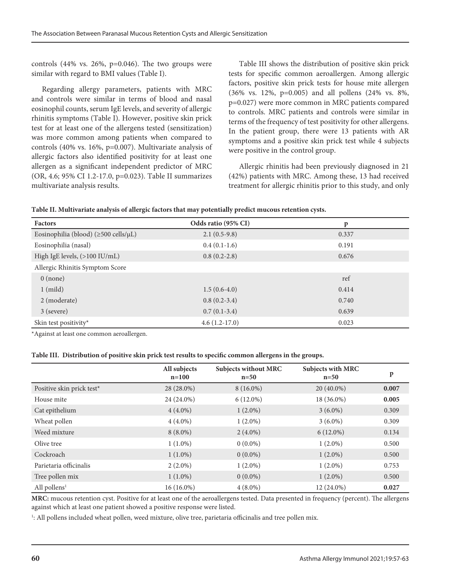controls  $(44\% \text{ vs. } 26\%, \text{ p=0.046})$ . The two groups were similar with regard to BMI values (Table I).

Regarding allergy parameters, patients with MRC and controls were similar in terms of blood and nasal eosinophil counts, serum IgE levels, and severity of allergic rhinitis symptoms (Table I). However, positive skin prick test for at least one of the allergens tested (sensitization) was more common among patients when compared to controls (40% vs. 16%, p=0.007). Multivariate analysis of allergic factors also identified positivity for at least one allergen as a significant independent predictor of MRC (OR, 4.6; 95% CI 1.2-17.0, p=0.023). Table II summarizes multivariate analysis results.

Table III shows the distribution of positive skin prick tests for specific common aeroallergen. Among allergic factors, positive skin prick tests for house mite allergen (36% vs. 12%, p=0.005) and all pollens (24% vs. 8%, p=0.027) were more common in MRC patients compared to controls. MRC patients and controls were similar in terms of the frequency of test positivity for other allergens. In the patient group, there were 13 patients with AR symptoms and a positive skin prick test while 4 subjects were positive in the control group.

Allergic rhinitis had been previously diagnosed in 21 (42%) patients with MRC. Among these, 13 had received treatment for allergic rhinitis prior to this study, and only

| Table II. Multivariate analysis of allergic factors that may potentially predict mucous retention cysts. |  |  |  |
|----------------------------------------------------------------------------------------------------------|--|--|--|
|----------------------------------------------------------------------------------------------------------|--|--|--|

| <b>Factors</b>                                    | Odds ratio (95% CI) | p     |
|---------------------------------------------------|---------------------|-------|
| Eosinophilia (blood) ( $\geq$ 500 cells/ $\mu$ L) | $2.1(0.5-9.8)$      | 0.337 |
| Eosinophilia (nasal)                              | $0.4(0.1-1.6)$      | 0.191 |
| High IgE levels, (>100 IU/mL)                     | $0.8(0.2-2.8)$      | 0.676 |
| Allergic Rhinitis Symptom Score                   |                     |       |
| $0 \text{ (none)}$                                |                     | ref   |
| $1 \pmod{}$                                       | $1.5(0.6-4.0)$      | 0.414 |
| 2 (moderate)                                      | $0.8(0.2-3.4)$      | 0.740 |
| 3 (severe)                                        | $0.7(0.1-3.4)$      | 0.639 |
| Skin test positivity*                             | $4.6(1.2-17.0)$     | 0.023 |

\*Against at least one common aeroallergen.

**Table III. Distribution of positive skin prick test results to specific common allergens in the groups.**

|                           | All subjects<br>$n=100$ | <b>Subjects without MRC</b><br>$n=50$ | <b>Subjects with MRC</b><br>$n=50$ | p     |
|---------------------------|-------------------------|---------------------------------------|------------------------------------|-------|
| Positive skin prick test* | 28 (28.0%)              | $8(16.0\%)$                           | $20(40.0\%)$                       | 0.007 |
| House mite                | 24 (24.0%)              | $6(12.0\%)$                           | 18 (36.0%)                         | 0.005 |
| Cat epithelium            | $4(4.0\%)$              | $1(2.0\%)$                            | $3(6.0\%)$                         | 0.309 |
| Wheat pollen              | $4(4.0\%)$              | $1(2.0\%)$                            | $3(6.0\%)$                         | 0.309 |
| Weed mixture              | $8(8.0\%)$              | $2(4.0\%)$                            | $6(12.0\%)$                        | 0.134 |
| Olive tree                | $1(1.0\%)$              | $0(0.0\%)$                            | $1(2.0\%)$                         | 0.500 |
| Cockroach                 | $1(1.0\%)$              | $0(0.0\%)$                            | $1(2.0\%)$                         | 0.500 |
| Parietaria officinalis    | $2(2.0\%)$              | $1(2.0\%)$                            | $1(2.0\%)$                         | 0.753 |
| Tree pollen mix           | $1(1.0\%)$              | $0(0.0\%)$                            | $1(2.0\%)$                         | 0.500 |
| All pollens <sup>1</sup>  | $16(16.0\%)$            | $4(8.0\%)$                            | 12 (24.0%)                         | 0.027 |

**MRC:** mucous retention cyst. Positive for at least one of the aeroallergens tested. Data presented in frequency (percent). The allergens against which at least one patient showed a positive response were listed.

1 : All pollens included wheat pollen, weed mixture, olive tree, parietaria officinalis and tree pollen mix.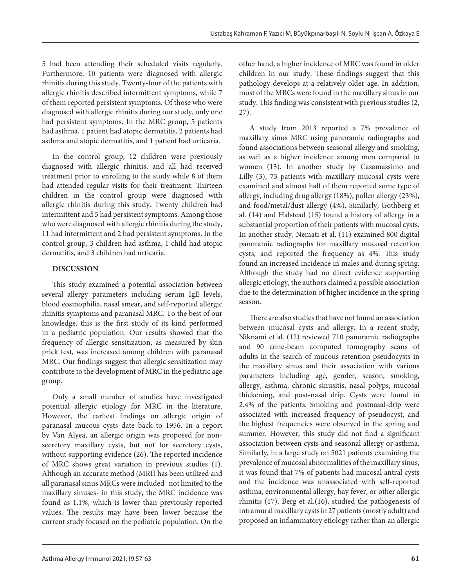5 had been attending their scheduled visits regularly. Furthermore, 10 patients were diagnosed with allergic rhinitis during this study. Twenty-four of the patients with allergic rhinitis described intermittent symptoms, while 7 of them reported persistent symptoms. Of those who were diagnosed with allergic rhinitis during our study, only one had persistent symptoms. In the MRC group, 5 patients had asthma, 1 patient had atopic dermatitis, 2 patients had asthma and atopic dermatitis, and 1 patient had urticaria.

In the control group, 12 children were previously diagnosed with allergic rhinitis, and all had received treatment prior to enrolling to the study while 8 of them had attended regular visits for their treatment. Thirteen children in the control group were diagnosed with allergic rhinitis during this study. Twenty children had intermittent and 5 had persistent symptoms. Among those who were diagnosed with allergic rhinitis during the study, 11 had intermittent and 2 had persistent symptoms. In the control group, 3 children had asthma, 1 child had atopic dermatitis, and 3 children had urticaria.

#### **DISCUSSION**

This study examined a potential association between several allergy parameters including serum IgE levels, blood eosinophilia, nasal smear, and self-reported allergic rhinitis symptoms and paranasal MRC. To the best of our knowledge, this is the first study of its kind performed in a pediatric population. Our results showed that the frequency of allergic sensitization, as measured by skin prick test, was increased among children with paranasal MRC. Our findings suggest that allergic sensitization may contribute to the development of MRC in the pediatric age group.

Only a small number of studies have investigated potential allergic etiology for MRC in the literature. However, the earliest findings on allergic origin of paranasal mucous cysts date back to 1956. In a report by Van Alyea, an allergic origin was proposed for nonsecretory maxillary cysts, but not for secretory cysts, without supporting evidence (26). The reported incidence of MRC shows great variation in previous studies (1). Although an accurate method (MRI) has been utilized and all paranasal sinus MRCs were included -not limited to the maxillary sinuses- in this study, the MRC incidence was found as 1.1%, which is lower than previously reported values. The results may have been lower because the current study focused on the pediatric population. On the

other hand, a higher incidence of MRC was found in older children in our study. These findings suggest that this pathology develops at a relatively older age. In addition, most of the MRCs were found in the maxillary sinus in our study. This finding was consistent with previous studies (2, 27).

A study from 2013 reported a 7% prevalence of maxillary sinus MRC using panoramic radiographs and found associations between seasonal allergy and smoking, as well as a higher incidence among men compared to women (13). In another study by Casamassimo and Lilly (3), 73 patients with maxillary mucosal cysts were examined and almost half of them reported some type of allergy, including drug allergy (18%), pollen allergy (23%), and food/metal/dust allergy (4%). Similarly, Gothberg et al. (14) and Halstead (15) found a history of allergy in a substantial proportion of their patients with mucosal cysts. In another study, Nemati et al. (11) examined 800 digital panoramic radiographs for maxillary mucosal retention cysts, and reported the frequency as 4%. This study found an increased incidence in males and during spring. Although the study had no direct evidence supporting allergic etiology, the authors claimed a possible association due to the determination of higher incidence in the spring season.

There are also studies that have not found an association between mucosal cysts and allergy. In a recent study, Niknami et al. (12) reviewed 710 panoramic radiographs and 90 cone-beam computed tomography scans of adults in the search of mucous retention pseudocysts in the maxillary sinus and their association with various parameters including age, gender, season, smoking, allergy, asthma, chronic sinusitis, nasal polyps, mucosal thickening, and post-nasal drip. Cysts were found in 2.4% of the patients. Smoking and postnasal-drip were associated with increased frequency of pseudocyst, and the highest frequencies were observed in the spring and summer. However, this study did not find a significant association between cysts and seasonal allergy or asthma. Similarly, in a large study on 5021 patients examining the prevalence of mucosal abnormalities of the maxillary sinus, it was found that 7% of patients had mucosal antral cysts and the incidence was unassociated with self-reported asthma, environmental allergy, hay fever, or other allergic rhinitis (17). Berg et al.(16), studied the pathogenesis of intramural maxillary cysts in 27 patients (mostly adult) and proposed an inflammatory etiology rather than an allergic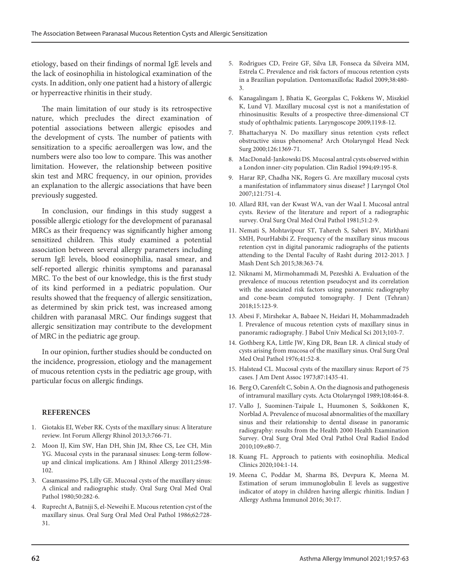etiology, based on their findings of normal IgE levels and the lack of eosinophilia in histological examination of the cysts. In addition, only one patient had a history of allergic or hyperreactive rhinitis in their study.

The main limitation of our study is its retrospective nature, which precludes the direct examination of potential associations between allergic episodes and the development of cysts. The number of patients with sensitization to a specific aeroallergen was low, and the numbers were also too low to compare. This was another limitation. However, the relationship between positive skin test and MRC frequency, in our opinion, provides an explanation to the allergic associations that have been previously suggested.

In conclusion, our findings in this study suggest a possible allergic etiology for the development of paranasal MRCs as their frequency was significantly higher among sensitized children. This study examined a potential association between several allergy parameters including serum IgE levels, blood eosinophilia, nasal smear, and self-reported allergic rhinitis symptoms and paranasal MRC. To the best of our knowledge, this is the first study of its kind performed in a pediatric population. Our results showed that the frequency of allergic sensitization, as determined by skin prick test, was increased among children with paranasal MRC. Our findings suggest that allergic sensitization may contribute to the development of MRC in the pediatric age group.

In our opinion, further studies should be conducted on the incidence, progression, etiology and the management of mucous retention cysts in the pediatric age group, with particular focus on allergic findings.

#### **REFERENCES**

- 1. Giotakis EI, Weber RK. Cysts of the maxillary sinus: A literature review. Int Forum Allergy Rhinol 2013;3:766-71.
- 2. Moon IJ, Kim SW, Han DH, Shin JM, Rhee CS, Lee CH, Min YG. Mucosal cysts in the paranasal sinuses: Long-term followup and clinical implications. Am J Rhinol Allergy 2011;25:98- 102.
- 3. Casamassimo PS, Lilly GE. Mucosal cysts of the maxillary sinus: A clinical and radiographic study. Oral Surg Oral Med Oral Pathol 1980;50:282-6.
- 4. Ruprecht A, Batniji S, el-Neweihi E. Mucous retention cyst of the maxillary sinus. Oral Surg Oral Med Oral Pathol 1986;62:728- 31.
- 5. Rodrigues CD, Freire GF, Silva LB, Fonseca da Silveira MM, Estrela C. Prevalence and risk factors of mucous retention cysts in a Brazilian population. Dentomaxillofac Radiol 2009;38:480- 3.
- 6. Kanagalingam J, Bhatia K, Georgalas C, Fokkens W, Miszkiel K, Lund VJ. Maxillary mucosal cyst is not a manifestation of rhinosinusitis: Results of a prospective three-dimensional CT study of ophthalmic patients. Laryngoscope 2009;119:8-12.
- 7. Bhattacharyya N. Do maxillary sinus retention cysts reflect obstructive sinus phenomena? Arch Otolaryngol Head Neck Surg 2000;126:1369-71.
- 8. MacDonald-Jankowski DS. Mucosal antral cysts observed within a London inner-city population. Clin Radiol 1994;49:195-8.
- 9. Harar RP, Chadha NK, Rogers G. Are maxillary mucosal cysts a manifestation of inflammatory sinus disease? J Laryngol Otol 2007;121:751-4.
- 10. Allard RH, van der Kwast WA, van der Waal I. Mucosal antral cysts. Review of the literature and report of a radiographic survey. Oral Surg Oral Med Oral Pathol 1981;51:2-9.
- 11. Nemati S, Mohtavipour ST, Tahereh S, Saberi BV, Mirkhani SMH, PourHabibi Z. Frequency of the maxillary sinus mucous retention cyst in digital panoramic radiographs of the patients attending to the Dental Faculty of Rasht during 2012-2013. J Mash Dent Sch 2015;38:363-74.
- 12. Niknami M, Mirmohammadi M, Pezeshki A. Evaluation of the prevalence of mucous retention pseudocyst and its correlation with the associated risk factors using panoramic radiography and cone-beam computed tomography. J Dent (Tehran) 2018;15:123-9.
- 13. Abesi F, Mirshekar A, Babaee N, Heidari H, Mohammadzadeh I. Prevalence of mucous retention cysts of maxillary sinus in panoramic radiography. J Babol Univ Medical Sci 2013;103-7.
- 14. Gothberg KA, Little JW, King DR, Bean LR. A clinical study of cysts arising from mucosa of the maxillary sinus. Oral Surg Oral Med Oral Pathol 1976;41:52-8.
- 15. Halstead CL. Mucosal cysts of the maxillary sinus: Report of 75 cases. J Am Dent Assoc 1973;87:1435-41.
- 16. Berg O, Carenfelt C, Sobin A. On the diagnosis and pathogenesis of intramural maxillary cysts. Acta Otolaryngol 1989;108:464-8.
- 17. Vallo J, Suominen-Taipale L, Huumonen S, Soikkonen K, Norblad A. Prevalence of mucosal abnormalities of the maxillary sinus and their relationship to dental disease in panoramic radiography: results from the Health 2000 Health Examination Survey. Oral Surg Oral Med Oral Pathol Oral Radiol Endod 2010;109:e80-7.
- 18. Kuang FL. Approach to patients with eosinophilia. Medical Clinics 2020;104:1-14.
- 19. Meena C, Poddar M, Sharma BS, Devpura K, Meena M. Estimation of serum immunoglobulin E levels as suggestive indicator of atopy in children having allergic rhinitis. Indian J Allergy Asthma Immunol 2016; 30:17.